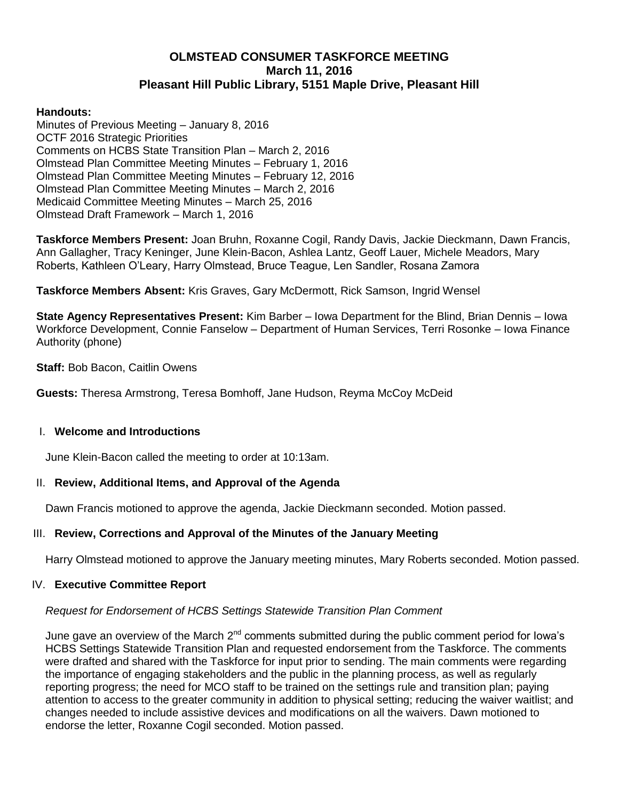# **OLMSTEAD CONSUMER TASKFORCE MEETING March 11, 2016 Pleasant Hill Public Library, 5151 Maple Drive, Pleasant Hill**

#### **Handouts:**

Minutes of Previous Meeting – January 8, 2016 OCTF 2016 Strategic Priorities Comments on HCBS State Transition Plan – March 2, 2016 Olmstead Plan Committee Meeting Minutes – February 1, 2016 Olmstead Plan Committee Meeting Minutes – February 12, 2016 Olmstead Plan Committee Meeting Minutes – March 2, 2016 Medicaid Committee Meeting Minutes – March 25, 2016 Olmstead Draft Framework – March 1, 2016

**Taskforce Members Present:** Joan Bruhn, Roxanne Cogil, Randy Davis, Jackie Dieckmann, Dawn Francis, Ann Gallagher, Tracy Keninger, June Klein-Bacon, Ashlea Lantz, Geoff Lauer, Michele Meadors, Mary Roberts, Kathleen O'Leary, Harry Olmstead, Bruce Teague, Len Sandler, Rosana Zamora

**Taskforce Members Absent:** Kris Graves, Gary McDermott, Rick Samson, Ingrid Wensel

**State Agency Representatives Present:** Kim Barber – Iowa Department for the Blind, Brian Dennis – Iowa Workforce Development, Connie Fanselow – Department of Human Services, Terri Rosonke – Iowa Finance Authority (phone)

**Staff:** Bob Bacon, Caitlin Owens

**Guests:** Theresa Armstrong, Teresa Bomhoff, Jane Hudson, Reyma McCoy McDeid

#### I. **Welcome and Introductions**

June Klein-Bacon called the meeting to order at 10:13am.

## II. **Review, Additional Items, and Approval of the Agenda**

Dawn Francis motioned to approve the agenda, Jackie Dieckmann seconded. Motion passed.

## III. **Review, Corrections and Approval of the Minutes of the January Meeting**

Harry Olmstead motioned to approve the January meeting minutes, Mary Roberts seconded. Motion passed.

#### IV. **Executive Committee Report**

## *Request for Endorsement of HCBS Settings Statewide Transition Plan Comment*

June gave an overview of the March  $2^{nd}$  comments submitted during the public comment period for lowa's HCBS Settings Statewide Transition Plan and requested endorsement from the Taskforce. The comments were drafted and shared with the Taskforce for input prior to sending. The main comments were regarding the importance of engaging stakeholders and the public in the planning process, as well as regularly reporting progress; the need for MCO staff to be trained on the settings rule and transition plan; paying attention to access to the greater community in addition to physical setting; reducing the waiver waitlist; and changes needed to include assistive devices and modifications on all the waivers. Dawn motioned to endorse the letter, Roxanne Cogil seconded. Motion passed.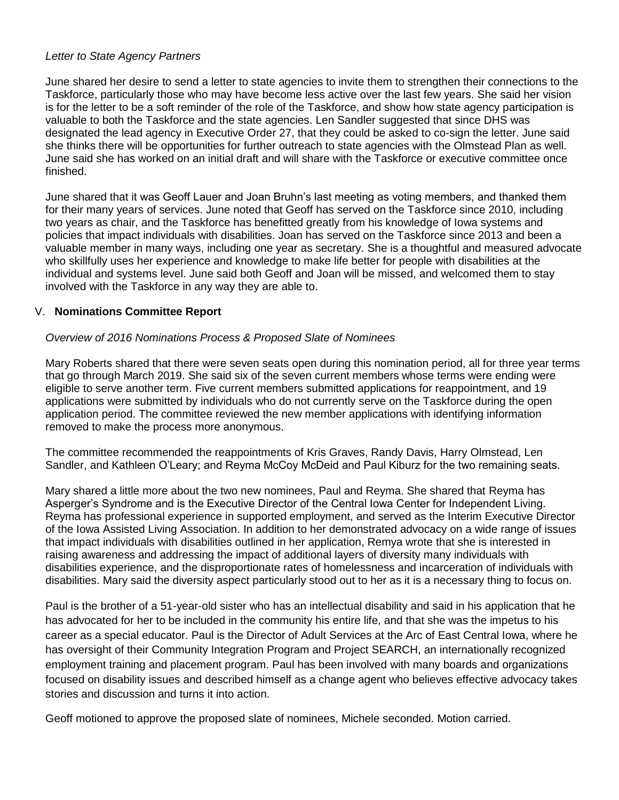#### *Letter to State Agency Partners*

June shared her desire to send a letter to state agencies to invite them to strengthen their connections to the Taskforce, particularly those who may have become less active over the last few years. She said her vision is for the letter to be a soft reminder of the role of the Taskforce, and show how state agency participation is valuable to both the Taskforce and the state agencies. Len Sandler suggested that since DHS was designated the lead agency in Executive Order 27, that they could be asked to co-sign the letter. June said she thinks there will be opportunities for further outreach to state agencies with the Olmstead Plan as well. June said she has worked on an initial draft and will share with the Taskforce or executive committee once finished.

June shared that it was Geoff Lauer and Joan Bruhn's last meeting as voting members, and thanked them for their many years of services. June noted that Geoff has served on the Taskforce since 2010, including two years as chair, and the Taskforce has benefitted greatly from his knowledge of Iowa systems and policies that impact individuals with disabilities. Joan has served on the Taskforce since 2013 and been a valuable member in many ways, including one year as secretary. She is a thoughtful and measured advocate who skillfully uses her experience and knowledge to make life better for people with disabilities at the individual and systems level. June said both Geoff and Joan will be missed, and welcomed them to stay involved with the Taskforce in any way they are able to.

## V. **Nominations Committee Report**

#### *Overview of 2016 Nominations Process & Proposed Slate of Nominees*

Mary Roberts shared that there were seven seats open during this nomination period, all for three year terms that go through March 2019. She said six of the seven current members whose terms were ending were eligible to serve another term. Five current members submitted applications for reappointment, and 19 applications were submitted by individuals who do not currently serve on the Taskforce during the open application period. The committee reviewed the new member applications with identifying information removed to make the process more anonymous.

The committee recommended the reappointments of Kris Graves, Randy Davis, Harry Olmstead, Len Sandler, and Kathleen O'Leary; and Reyma McCoy McDeid and Paul Kiburz for the two remaining seats.

Mary shared a little more about the two new nominees, Paul and Reyma. She shared that Reyma has Asperger's Syndrome and is the Executive Director of the Central Iowa Center for Independent Living. Reyma has professional experience in supported employment, and served as the Interim Executive Director of the Iowa Assisted Living Association. In addition to her demonstrated advocacy on a wide range of issues that impact individuals with disabilities outlined in her application, Remya wrote that she is interested in raising awareness and addressing the impact of additional layers of diversity many individuals with disabilities experience, and the disproportionate rates of homelessness and incarceration of individuals with disabilities. Mary said the diversity aspect particularly stood out to her as it is a necessary thing to focus on.

Paul is the brother of a 51-year-old sister who has an intellectual disability and said in his application that he has advocated for her to be included in the community his entire life, and that she was the impetus to his career as a special educator. Paul is the Director of Adult Services at the Arc of East Central Iowa, where he has oversight of their Community Integration Program and Project SEARCH, an internationally recognized employment training and placement program. Paul has been involved with many boards and organizations focused on disability issues and described himself as a change agent who believes effective advocacy takes stories and discussion and turns it into action.

Geoff motioned to approve the proposed slate of nominees, Michele seconded. Motion carried.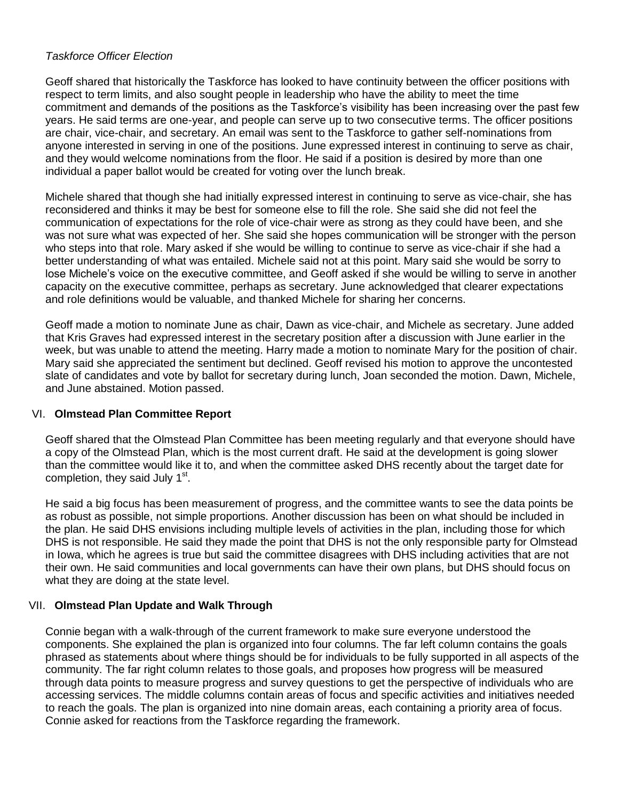## *Taskforce Officer Election*

Geoff shared that historically the Taskforce has looked to have continuity between the officer positions with respect to term limits, and also sought people in leadership who have the ability to meet the time commitment and demands of the positions as the Taskforce's visibility has been increasing over the past few years. He said terms are one-year, and people can serve up to two consecutive terms. The officer positions are chair, vice-chair, and secretary. An email was sent to the Taskforce to gather self-nominations from anyone interested in serving in one of the positions. June expressed interest in continuing to serve as chair, and they would welcome nominations from the floor. He said if a position is desired by more than one individual a paper ballot would be created for voting over the lunch break.

Michele shared that though she had initially expressed interest in continuing to serve as vice-chair, she has reconsidered and thinks it may be best for someone else to fill the role. She said she did not feel the communication of expectations for the role of vice-chair were as strong as they could have been, and she was not sure what was expected of her. She said she hopes communication will be stronger with the person who steps into that role. Mary asked if she would be willing to continue to serve as vice-chair if she had a better understanding of what was entailed. Michele said not at this point. Mary said she would be sorry to lose Michele's voice on the executive committee, and Geoff asked if she would be willing to serve in another capacity on the executive committee, perhaps as secretary. June acknowledged that clearer expectations and role definitions would be valuable, and thanked Michele for sharing her concerns.

Geoff made a motion to nominate June as chair, Dawn as vice-chair, and Michele as secretary. June added that Kris Graves had expressed interest in the secretary position after a discussion with June earlier in the week, but was unable to attend the meeting. Harry made a motion to nominate Mary for the position of chair. Mary said she appreciated the sentiment but declined. Geoff revised his motion to approve the uncontested slate of candidates and vote by ballot for secretary during lunch, Joan seconded the motion. Dawn, Michele, and June abstained. Motion passed.

## VI. **Olmstead Plan Committee Report**

Geoff shared that the Olmstead Plan Committee has been meeting regularly and that everyone should have a copy of the Olmstead Plan, which is the most current draft. He said at the development is going slower than the committee would like it to, and when the committee asked DHS recently about the target date for completion, they said July 1<sup>st</sup>.

He said a big focus has been measurement of progress, and the committee wants to see the data points be as robust as possible, not simple proportions. Another discussion has been on what should be included in the plan. He said DHS envisions including multiple levels of activities in the plan, including those for which DHS is not responsible. He said they made the point that DHS is not the only responsible party for Olmstead in Iowa, which he agrees is true but said the committee disagrees with DHS including activities that are not their own. He said communities and local governments can have their own plans, but DHS should focus on what they are doing at the state level.

## VII. **Olmstead Plan Update and Walk Through**

Connie began with a walk-through of the current framework to make sure everyone understood the components. She explained the plan is organized into four columns. The far left column contains the goals phrased as statements about where things should be for individuals to be fully supported in all aspects of the community. The far right column relates to those goals, and proposes how progress will be measured through data points to measure progress and survey questions to get the perspective of individuals who are accessing services. The middle columns contain areas of focus and specific activities and initiatives needed to reach the goals. The plan is organized into nine domain areas, each containing a priority area of focus. Connie asked for reactions from the Taskforce regarding the framework.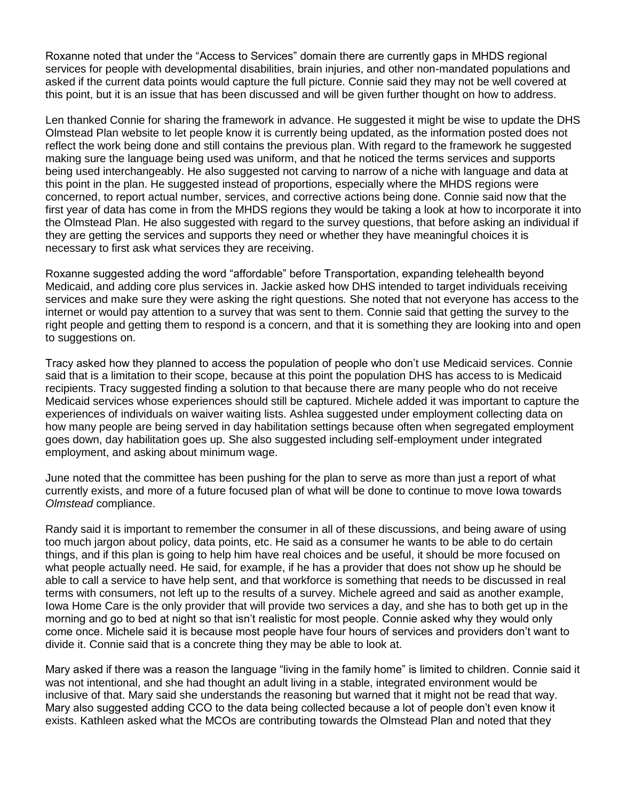Roxanne noted that under the "Access to Services" domain there are currently gaps in MHDS regional services for people with developmental disabilities, brain injuries, and other non-mandated populations and asked if the current data points would capture the full picture. Connie said they may not be well covered at this point, but it is an issue that has been discussed and will be given further thought on how to address.

Len thanked Connie for sharing the framework in advance. He suggested it might be wise to update the DHS Olmstead Plan website to let people know it is currently being updated, as the information posted does not reflect the work being done and still contains the previous plan. With regard to the framework he suggested making sure the language being used was uniform, and that he noticed the terms services and supports being used interchangeably. He also suggested not carving to narrow of a niche with language and data at this point in the plan. He suggested instead of proportions, especially where the MHDS regions were concerned, to report actual number, services, and corrective actions being done. Connie said now that the first year of data has come in from the MHDS regions they would be taking a look at how to incorporate it into the Olmstead Plan. He also suggested with regard to the survey questions, that before asking an individual if they are getting the services and supports they need or whether they have meaningful choices it is necessary to first ask what services they are receiving.

Roxanne suggested adding the word "affordable" before Transportation, expanding telehealth beyond Medicaid, and adding core plus services in. Jackie asked how DHS intended to target individuals receiving services and make sure they were asking the right questions. She noted that not everyone has access to the internet or would pay attention to a survey that was sent to them. Connie said that getting the survey to the right people and getting them to respond is a concern, and that it is something they are looking into and open to suggestions on.

Tracy asked how they planned to access the population of people who don't use Medicaid services. Connie said that is a limitation to their scope, because at this point the population DHS has access to is Medicaid recipients. Tracy suggested finding a solution to that because there are many people who do not receive Medicaid services whose experiences should still be captured. Michele added it was important to capture the experiences of individuals on waiver waiting lists. Ashlea suggested under employment collecting data on how many people are being served in day habilitation settings because often when segregated employment goes down, day habilitation goes up. She also suggested including self-employment under integrated employment, and asking about minimum wage.

June noted that the committee has been pushing for the plan to serve as more than just a report of what currently exists, and more of a future focused plan of what will be done to continue to move Iowa towards *Olmstead* compliance.

Randy said it is important to remember the consumer in all of these discussions, and being aware of using too much jargon about policy, data points, etc. He said as a consumer he wants to be able to do certain things, and if this plan is going to help him have real choices and be useful, it should be more focused on what people actually need. He said, for example, if he has a provider that does not show up he should be able to call a service to have help sent, and that workforce is something that needs to be discussed in real terms with consumers, not left up to the results of a survey. Michele agreed and said as another example, Iowa Home Care is the only provider that will provide two services a day, and she has to both get up in the morning and go to bed at night so that isn't realistic for most people. Connie asked why they would only come once. Michele said it is because most people have four hours of services and providers don't want to divide it. Connie said that is a concrete thing they may be able to look at.

Mary asked if there was a reason the language "living in the family home" is limited to children. Connie said it was not intentional, and she had thought an adult living in a stable, integrated environment would be inclusive of that. Mary said she understands the reasoning but warned that it might not be read that way. Mary also suggested adding CCO to the data being collected because a lot of people don't even know it exists. Kathleen asked what the MCOs are contributing towards the Olmstead Plan and noted that they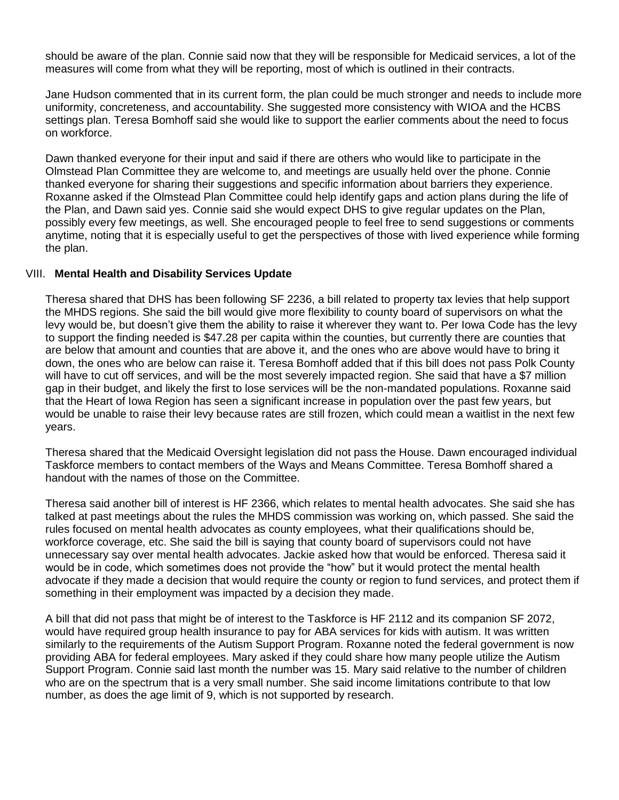should be aware of the plan. Connie said now that they will be responsible for Medicaid services, a lot of the measures will come from what they will be reporting, most of which is outlined in their contracts.

Jane Hudson commented that in its current form, the plan could be much stronger and needs to include more uniformity, concreteness, and accountability. She suggested more consistency with WIOA and the HCBS settings plan. Teresa Bomhoff said she would like to support the earlier comments about the need to focus on workforce.

Dawn thanked everyone for their input and said if there are others who would like to participate in the Olmstead Plan Committee they are welcome to, and meetings are usually held over the phone. Connie thanked everyone for sharing their suggestions and specific information about barriers they experience. Roxanne asked if the Olmstead Plan Committee could help identify gaps and action plans during the life of the Plan, and Dawn said yes. Connie said she would expect DHS to give regular updates on the Plan, possibly every few meetings, as well. She encouraged people to feel free to send suggestions or comments anytime, noting that it is especially useful to get the perspectives of those with lived experience while forming the plan.

#### VIII. **Mental Health and Disability Services Update**

Theresa shared that DHS has been following SF 2236, a bill related to property tax levies that help support the MHDS regions. She said the bill would give more flexibility to county board of supervisors on what the levy would be, but doesn't give them the ability to raise it wherever they want to. Per Iowa Code has the levy to support the finding needed is \$47.28 per capita within the counties, but currently there are counties that are below that amount and counties that are above it, and the ones who are above would have to bring it down, the ones who are below can raise it. Teresa Bomhoff added that if this bill does not pass Polk County will have to cut off services, and will be the most severely impacted region. She said that have a \$7 million gap in their budget, and likely the first to lose services will be the non-mandated populations. Roxanne said that the Heart of Iowa Region has seen a significant increase in population over the past few years, but would be unable to raise their levy because rates are still frozen, which could mean a waitlist in the next few years.

Theresa shared that the Medicaid Oversight legislation did not pass the House. Dawn encouraged individual Taskforce members to contact members of the Ways and Means Committee. Teresa Bomhoff shared a handout with the names of those on the Committee.

Theresa said another bill of interest is HF 2366, which relates to mental health advocates. She said she has talked at past meetings about the rules the MHDS commission was working on, which passed. She said the rules focused on mental health advocates as county employees, what their qualifications should be, workforce coverage, etc. She said the bill is saying that county board of supervisors could not have unnecessary say over mental health advocates. Jackie asked how that would be enforced. Theresa said it would be in code, which sometimes does not provide the "how" but it would protect the mental health advocate if they made a decision that would require the county or region to fund services, and protect them if something in their employment was impacted by a decision they made.

A bill that did not pass that might be of interest to the Taskforce is HF 2112 and its companion SF 2072, would have required group health insurance to pay for ABA services for kids with autism. It was written similarly to the requirements of the Autism Support Program. Roxanne noted the federal government is now providing ABA for federal employees. Mary asked if they could share how many people utilize the Autism Support Program. Connie said last month the number was 15. Mary said relative to the number of children who are on the spectrum that is a very small number. She said income limitations contribute to that low number, as does the age limit of 9, which is not supported by research.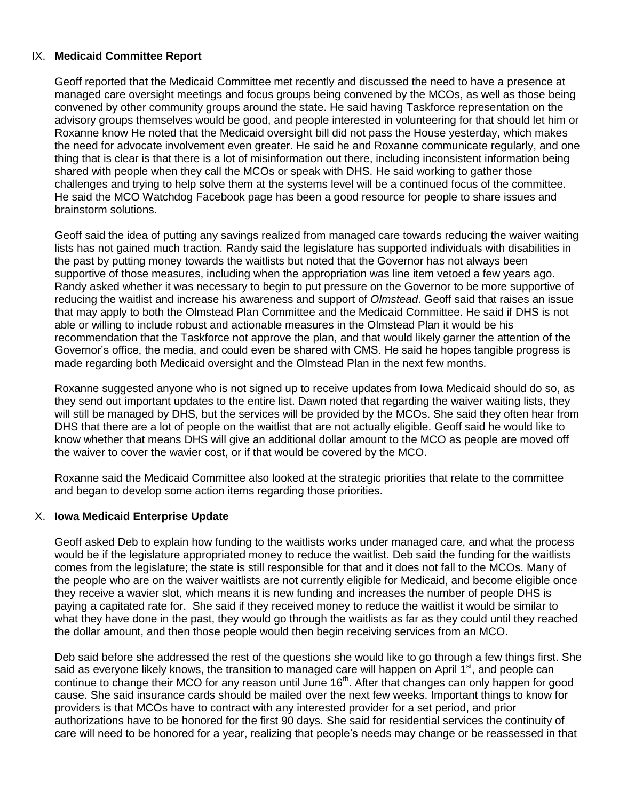## IX. **Medicaid Committee Report**

Geoff reported that the Medicaid Committee met recently and discussed the need to have a presence at managed care oversight meetings and focus groups being convened by the MCOs, as well as those being convened by other community groups around the state. He said having Taskforce representation on the advisory groups themselves would be good, and people interested in volunteering for that should let him or Roxanne know He noted that the Medicaid oversight bill did not pass the House yesterday, which makes the need for advocate involvement even greater. He said he and Roxanne communicate regularly, and one thing that is clear is that there is a lot of misinformation out there, including inconsistent information being shared with people when they call the MCOs or speak with DHS. He said working to gather those challenges and trying to help solve them at the systems level will be a continued focus of the committee. He said the MCO Watchdog Facebook page has been a good resource for people to share issues and brainstorm solutions.

Geoff said the idea of putting any savings realized from managed care towards reducing the waiver waiting lists has not gained much traction. Randy said the legislature has supported individuals with disabilities in the past by putting money towards the waitlists but noted that the Governor has not always been supportive of those measures, including when the appropriation was line item vetoed a few years ago. Randy asked whether it was necessary to begin to put pressure on the Governor to be more supportive of reducing the waitlist and increase his awareness and support of *Olmstead*. Geoff said that raises an issue that may apply to both the Olmstead Plan Committee and the Medicaid Committee. He said if DHS is not able or willing to include robust and actionable measures in the Olmstead Plan it would be his recommendation that the Taskforce not approve the plan, and that would likely garner the attention of the Governor's office, the media, and could even be shared with CMS. He said he hopes tangible progress is made regarding both Medicaid oversight and the Olmstead Plan in the next few months.

Roxanne suggested anyone who is not signed up to receive updates from Iowa Medicaid should do so, as they send out important updates to the entire list. Dawn noted that regarding the waiver waiting lists, they will still be managed by DHS, but the services will be provided by the MCOs. She said they often hear from DHS that there are a lot of people on the waitlist that are not actually eligible. Geoff said he would like to know whether that means DHS will give an additional dollar amount to the MCO as people are moved off the waiver to cover the wavier cost, or if that would be covered by the MCO.

Roxanne said the Medicaid Committee also looked at the strategic priorities that relate to the committee and began to develop some action items regarding those priorities.

## X. **Iowa Medicaid Enterprise Update**

Geoff asked Deb to explain how funding to the waitlists works under managed care, and what the process would be if the legislature appropriated money to reduce the waitlist. Deb said the funding for the waitlists comes from the legislature; the state is still responsible for that and it does not fall to the MCOs. Many of the people who are on the waiver waitlists are not currently eligible for Medicaid, and become eligible once they receive a wavier slot, which means it is new funding and increases the number of people DHS is paying a capitated rate for. She said if they received money to reduce the waitlist it would be similar to what they have done in the past, they would go through the waitlists as far as they could until they reached the dollar amount, and then those people would then begin receiving services from an MCO.

Deb said before she addressed the rest of the questions she would like to go through a few things first. She said as everyone likely knows, the transition to managed care will happen on April 1<sup>st</sup>, and people can continue to change their MCO for any reason until June 16<sup>th</sup>. After that changes can only happen for good cause. She said insurance cards should be mailed over the next few weeks. Important things to know for providers is that MCOs have to contract with any interested provider for a set period, and prior authorizations have to be honored for the first 90 days. She said for residential services the continuity of care will need to be honored for a year, realizing that people's needs may change or be reassessed in that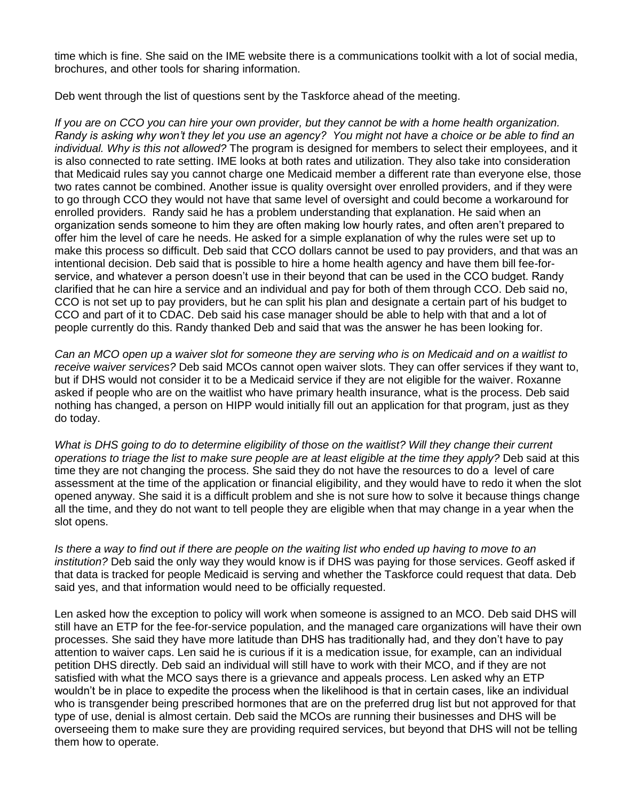time which is fine. She said on the IME website there is a communications toolkit with a lot of social media, brochures, and other tools for sharing information.

Deb went through the list of questions sent by the Taskforce ahead of the meeting.

*If you are on CCO you can hire your own provider, but they cannot be with a home health organization. Randy is asking why won't they let you use an agency? You might not have a choice or be able to find an individual. Why is this not allowed?* The program is designed for members to select their employees, and it is also connected to rate setting. IME looks at both rates and utilization. They also take into consideration that Medicaid rules say you cannot charge one Medicaid member a different rate than everyone else, those two rates cannot be combined. Another issue is quality oversight over enrolled providers, and if they were to go through CCO they would not have that same level of oversight and could become a workaround for enrolled providers. Randy said he has a problem understanding that explanation. He said when an organization sends someone to him they are often making low hourly rates, and often aren't prepared to offer him the level of care he needs. He asked for a simple explanation of why the rules were set up to make this process so difficult. Deb said that CCO dollars cannot be used to pay providers, and that was an intentional decision. Deb said that is possible to hire a home health agency and have them bill fee-forservice, and whatever a person doesn't use in their beyond that can be used in the CCO budget. Randy clarified that he can hire a service and an individual and pay for both of them through CCO. Deb said no, CCO is not set up to pay providers, but he can split his plan and designate a certain part of his budget to CCO and part of it to CDAC. Deb said his case manager should be able to help with that and a lot of people currently do this. Randy thanked Deb and said that was the answer he has been looking for.

*Can an MCO open up a waiver slot for someone they are serving who is on Medicaid and on a waitlist to receive waiver services?* Deb said MCOs cannot open waiver slots. They can offer services if they want to, but if DHS would not consider it to be a Medicaid service if they are not eligible for the waiver. Roxanne asked if people who are on the waitlist who have primary health insurance, what is the process. Deb said nothing has changed, a person on HIPP would initially fill out an application for that program, just as they do today.

*What is DHS going to do to determine eligibility of those on the waitlist? Will they change their current operations to triage the list to make sure people are at least eligible at the time they apply?* Deb said at this time they are not changing the process. She said they do not have the resources to do a level of care assessment at the time of the application or financial eligibility, and they would have to redo it when the slot opened anyway. She said it is a difficult problem and she is not sure how to solve it because things change all the time, and they do not want to tell people they are eligible when that may change in a year when the slot opens.

Is there a way to find out if there are people on the waiting list who ended up having to move to an *institution?* Deb said the only way they would know is if DHS was paying for those services. Geoff asked if that data is tracked for people Medicaid is serving and whether the Taskforce could request that data. Deb said yes, and that information would need to be officially requested.

Len asked how the exception to policy will work when someone is assigned to an MCO. Deb said DHS will still have an ETP for the fee-for-service population, and the managed care organizations will have their own processes. She said they have more latitude than DHS has traditionally had, and they don't have to pay attention to waiver caps. Len said he is curious if it is a medication issue, for example, can an individual petition DHS directly. Deb said an individual will still have to work with their MCO, and if they are not satisfied with what the MCO says there is a grievance and appeals process. Len asked why an ETP wouldn't be in place to expedite the process when the likelihood is that in certain cases, like an individual who is transgender being prescribed hormones that are on the preferred drug list but not approved for that type of use, denial is almost certain. Deb said the MCOs are running their businesses and DHS will be overseeing them to make sure they are providing required services, but beyond that DHS will not be telling them how to operate.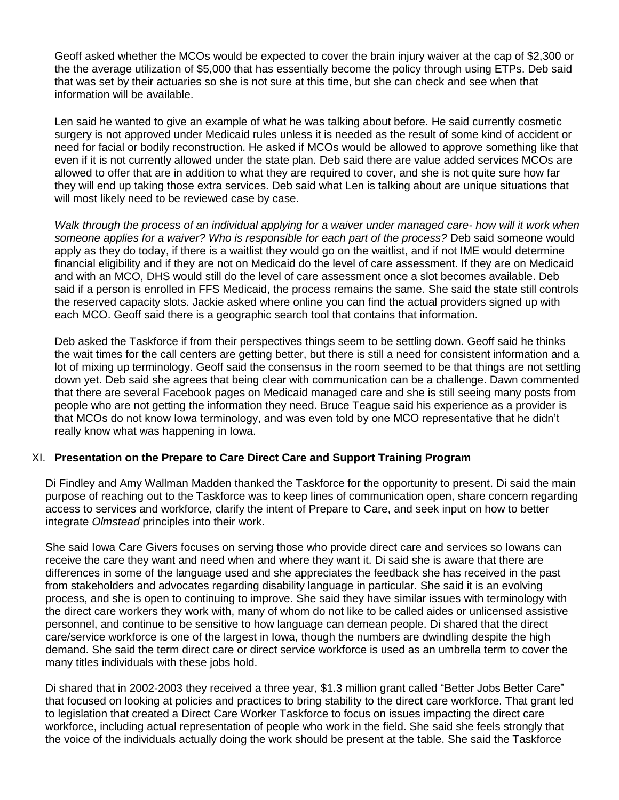Geoff asked whether the MCOs would be expected to cover the brain injury waiver at the cap of \$2,300 or the the average utilization of \$5,000 that has essentially become the policy through using ETPs. Deb said that was set by their actuaries so she is not sure at this time, but she can check and see when that information will be available.

Len said he wanted to give an example of what he was talking about before. He said currently cosmetic surgery is not approved under Medicaid rules unless it is needed as the result of some kind of accident or need for facial or bodily reconstruction. He asked if MCOs would be allowed to approve something like that even if it is not currently allowed under the state plan. Deb said there are value added services MCOs are allowed to offer that are in addition to what they are required to cover, and she is not quite sure how far they will end up taking those extra services. Deb said what Len is talking about are unique situations that will most likely need to be reviewed case by case.

*Walk through the process of an individual applying for a waiver under managed care- how will it work when someone applies for a waiver? Who is responsible for each part of the process?* Deb said someone would apply as they do today, if there is a waitlist they would go on the waitlist, and if not IME would determine financial eligibility and if they are not on Medicaid do the level of care assessment. If they are on Medicaid and with an MCO, DHS would still do the level of care assessment once a slot becomes available. Deb said if a person is enrolled in FFS Medicaid, the process remains the same. She said the state still controls the reserved capacity slots. Jackie asked where online you can find the actual providers signed up with each MCO. Geoff said there is a geographic search tool that contains that information.

Deb asked the Taskforce if from their perspectives things seem to be settling down. Geoff said he thinks the wait times for the call centers are getting better, but there is still a need for consistent information and a lot of mixing up terminology. Geoff said the consensus in the room seemed to be that things are not settling down yet. Deb said she agrees that being clear with communication can be a challenge. Dawn commented that there are several Facebook pages on Medicaid managed care and she is still seeing many posts from people who are not getting the information they need. Bruce Teague said his experience as a provider is that MCOs do not know Iowa terminology, and was even told by one MCO representative that he didn't really know what was happening in Iowa.

## XI. **Presentation on the Prepare to Care Direct Care and Support Training Program**

Di Findley and Amy Wallman Madden thanked the Taskforce for the opportunity to present. Di said the main purpose of reaching out to the Taskforce was to keep lines of communication open, share concern regarding access to services and workforce, clarify the intent of Prepare to Care, and seek input on how to better integrate *Olmstead* principles into their work.

She said Iowa Care Givers focuses on serving those who provide direct care and services so Iowans can receive the care they want and need when and where they want it. Di said she is aware that there are differences in some of the language used and she appreciates the feedback she has received in the past from stakeholders and advocates regarding disability language in particular. She said it is an evolving process, and she is open to continuing to improve. She said they have similar issues with terminology with the direct care workers they work with, many of whom do not like to be called aides or unlicensed assistive personnel, and continue to be sensitive to how language can demean people. Di shared that the direct care/service workforce is one of the largest in Iowa, though the numbers are dwindling despite the high demand. She said the term direct care or direct service workforce is used as an umbrella term to cover the many titles individuals with these jobs hold.

Di shared that in 2002-2003 they received a three year, \$1.3 million grant called "Better Jobs Better Care" that focused on looking at policies and practices to bring stability to the direct care workforce. That grant led to legislation that created a Direct Care Worker Taskforce to focus on issues impacting the direct care workforce, including actual representation of people who work in the field. She said she feels strongly that the voice of the individuals actually doing the work should be present at the table. She said the Taskforce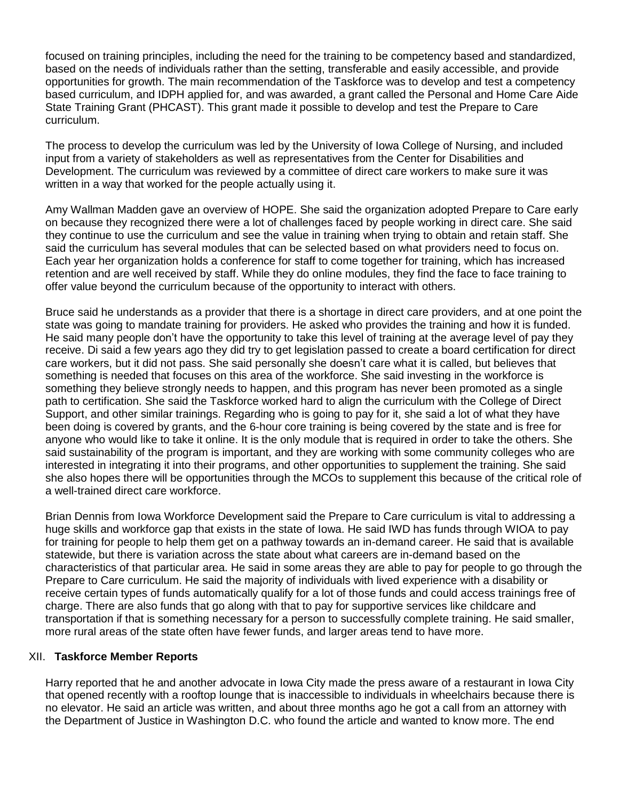focused on training principles, including the need for the training to be competency based and standardized, based on the needs of individuals rather than the setting, transferable and easily accessible, and provide opportunities for growth. The main recommendation of the Taskforce was to develop and test a competency based curriculum, and IDPH applied for, and was awarded, a grant called the Personal and Home Care Aide State Training Grant (PHCAST). This grant made it possible to develop and test the Prepare to Care curriculum.

The process to develop the curriculum was led by the University of Iowa College of Nursing, and included input from a variety of stakeholders as well as representatives from the Center for Disabilities and Development. The curriculum was reviewed by a committee of direct care workers to make sure it was written in a way that worked for the people actually using it.

Amy Wallman Madden gave an overview of HOPE. She said the organization adopted Prepare to Care early on because they recognized there were a lot of challenges faced by people working in direct care. She said they continue to use the curriculum and see the value in training when trying to obtain and retain staff. She said the curriculum has several modules that can be selected based on what providers need to focus on. Each year her organization holds a conference for staff to come together for training, which has increased retention and are well received by staff. While they do online modules, they find the face to face training to offer value beyond the curriculum because of the opportunity to interact with others.

Bruce said he understands as a provider that there is a shortage in direct care providers, and at one point the state was going to mandate training for providers. He asked who provides the training and how it is funded. He said many people don't have the opportunity to take this level of training at the average level of pay they receive. Di said a few years ago they did try to get legislation passed to create a board certification for direct care workers, but it did not pass. She said personally she doesn't care what it is called, but believes that something is needed that focuses on this area of the workforce. She said investing in the workforce is something they believe strongly needs to happen, and this program has never been promoted as a single path to certification. She said the Taskforce worked hard to align the curriculum with the College of Direct Support, and other similar trainings. Regarding who is going to pay for it, she said a lot of what they have been doing is covered by grants, and the 6-hour core training is being covered by the state and is free for anyone who would like to take it online. It is the only module that is required in order to take the others. She said sustainability of the program is important, and they are working with some community colleges who are interested in integrating it into their programs, and other opportunities to supplement the training. She said she also hopes there will be opportunities through the MCOs to supplement this because of the critical role of a well-trained direct care workforce.

Brian Dennis from Iowa Workforce Development said the Prepare to Care curriculum is vital to addressing a huge skills and workforce gap that exists in the state of Iowa. He said IWD has funds through WIOA to pay for training for people to help them get on a pathway towards an in-demand career. He said that is available statewide, but there is variation across the state about what careers are in-demand based on the characteristics of that particular area. He said in some areas they are able to pay for people to go through the Prepare to Care curriculum. He said the majority of individuals with lived experience with a disability or receive certain types of funds automatically qualify for a lot of those funds and could access trainings free of charge. There are also funds that go along with that to pay for supportive services like childcare and transportation if that is something necessary for a person to successfully complete training. He said smaller, more rural areas of the state often have fewer funds, and larger areas tend to have more.

## XII. **Taskforce Member Reports**

Harry reported that he and another advocate in Iowa City made the press aware of a restaurant in Iowa City that opened recently with a rooftop lounge that is inaccessible to individuals in wheelchairs because there is no elevator. He said an article was written, and about three months ago he got a call from an attorney with the Department of Justice in Washington D.C. who found the article and wanted to know more. The end